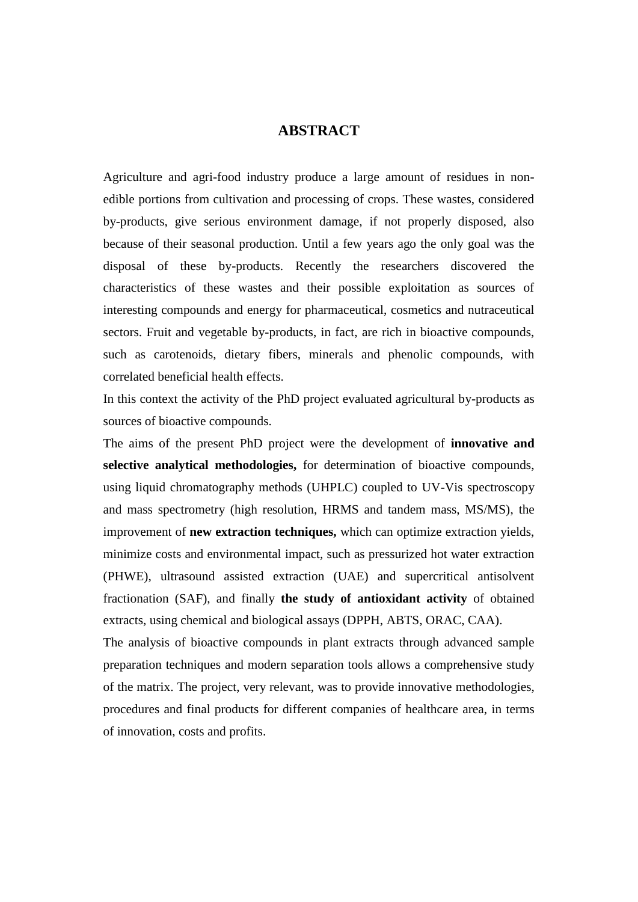## **ABSTRACT**

Agriculture and agri-food industry produce a large amount of residues in nonedible portions from cultivation and processing of crops. These wastes, considered by-products, give serious environment damage, if not properly disposed, also because of their seasonal production. Until a few years ago the only goal was the disposal of these by-products. Recently the researchers discovered the characteristics of these wastes and their possible exploitation as sources of interesting compounds and energy for pharmaceutical, cosmetics and nutraceutical sectors. Fruit and vegetable by-products, in fact, are rich in bioactive compounds, such as carotenoids, dietary fibers, minerals and phenolic compounds, with correlated beneficial health effects.

In this context the activity of the PhD project evaluated agricultural by-products as sources of bioactive compounds.

The aims of the present PhD project were the development of **innovative and selective analytical methodologies,** for determination of bioactive compounds, using liquid chromatography methods (UHPLC) coupled to UV-Vis spectroscopy and mass spectrometry (high resolution, HRMS and tandem mass, MS/MS), the improvement of **new extraction techniques,** which can optimize extraction yields, minimize costs and environmental impact, such as pressurized hot water extraction (PHWE), ultrasound assisted extraction (UAE) and supercritical antisolvent fractionation (SAF), and finally **the study of antioxidant activity** of obtained extracts, using chemical and biological assays (DPPH, ABTS, ORAC, CAA).

The analysis of bioactive compounds in plant extracts through advanced sample preparation techniques and modern separation tools allows a comprehensive study of the matrix. The project, very relevant, was to provide innovative methodologies, procedures and final products for different companies of healthcare area, in terms of innovation, costs and profits.